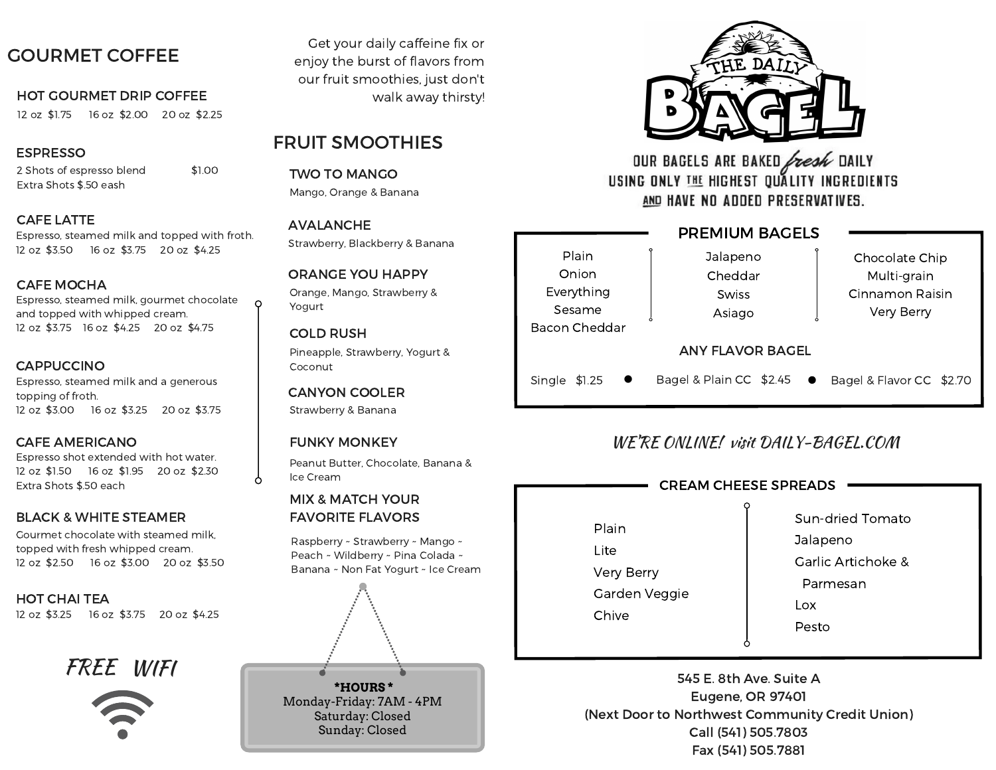# GOURMET COFFEE

### HOT GOURMET DRIP COFFEE walk away thirsty!

12 oz \$1.75 16 oz \$2.00 20 oz \$2.25

## ESPRESSO

2 Shots of espresso blend \$1.00 Extra Shots \$.50 eash

# CAFE LATTE

Espresso, steamed milk and topped with froth. 12 oz \$3.50 16 oz \$3.75 20 oz \$4.25

# CAFE MOCHA

Espresso, steamed milk, gourmet chocolate and topped with whipped cream. 12 oz \$3.75 16 oz \$4.25 20 oz \$4.75

# **CAPPUCCINO**

Espresso, steamed milk and a generous topping of froth. 12 oz \$3.00 16 oz \$3.25 20 oz \$3.75

## CAFE AMERICANO

Espresso shot extended with hot water. 12 oz \$1.50 16 oz \$1.95 20 oz \$2.30 Extra Shots \$.50 each

## BLACK & WHITE STEAMER

Gourmet chocolate with steamed milk, topped with fresh whipped cream. 12 oz \$2.50 16 oz \$3.00 20 oz \$3.50

### HOT CHAI TEA 12 oz \$3.25 16 oz \$3.75 20 oz \$4.25

FREE WIFI



Get your daily caffeine fix or enjoy the burst of flavors from our fruit smoothies, just don't

# FRUIT SMOOTHIES

TWO TO MANGO Mango, Orange & Banana

AVALANCHE Strawberry, Blackberry & Banana

### Orange, Mango, Strawberry & Yogurt ORANGE YOU HAPPY

Pineapple, Strawberry, Yogurt & Coconut COLD RUSH

CANYON COOLER Strawberry & Banana

# FUNKY MONKEY

Peanut Butter, Chocolate, Banana & Ice Cream

# MIX & MATCH YOUR FAVORITE FLAVORS

Raspberry ~ Strawberry ~ Mango ~ Peach ~ Wildberry ~ Pina Colada ~ Banana ~ Non Fat Yogurt ~ Ice Cream



Sunday: Closed



OUR BAGELS ARE BAKED fresh DAILY USING ONLY THE HIGHEST OUALITY INGREDIENTS AND HAVE NO ADDED PRESERVATIVES.

### PREMIUM BAGELS Plain Onion Everything Sesame Bacon Cheddar Jalapeno Cheddar **Swiss** Asiago Chocolate Chip Multi-grain Cinnamon Raisin Very Berry ANY FLAVOR BAGEL Single \$1.25 Bagel & Plain CC  $$2.45$   $\bullet$  Bagel & Flavor CC  $$2.70$

# WE'RE ONLINE! visit DAILY-BAGEL.COM

# CREAM CHEESE SPREADS

Plain Lite Very Berry Garden Veggie **Chive** 

Sun-dried Tomato Jalapeno

Garlic Artichoke &

Parmesan

Lox

Pesto

545 E. 8th Ave. Suite A Eugene, OR 97401 (Next Door to Northwest Community Credit Union) Call (541) 505.7803 Fax (541) 505.7881